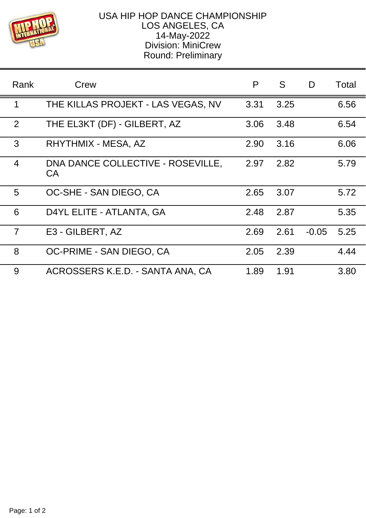

## USA HIP HOP DANCE CHAMPIONSHIP LOS ANGELES, CA 14-May-2022 Division: MiniCrew Round: Preliminary

| Rank           | Crew                                     | P    | S    | D       | Total |
|----------------|------------------------------------------|------|------|---------|-------|
| 1              | THE KILLAS PROJEKT - LAS VEGAS, NV       | 3.31 | 3.25 |         | 6.56  |
| 2              | THE EL3KT (DF) - GILBERT, AZ             | 3.06 | 3.48 |         | 6.54  |
| 3              | RHYTHMIX - MESA, AZ                      | 2.90 | 3.16 |         | 6.06  |
| $\overline{4}$ | DNA DANCE COLLECTIVE - ROSEVILLE,<br>CA. | 2.97 | 2.82 |         | 5.79  |
| 5              | OC-SHE - SAN DIEGO, CA                   | 2.65 | 3.07 |         | 5.72  |
| 6              | D4YL ELITE - ATLANTA, GA                 | 2.48 | 2.87 |         | 5.35  |
| $\overline{7}$ | E3 - GILBERT, AZ                         | 2.69 | 2.61 | $-0.05$ | 5.25  |
| 8              | OC-PRIME - SAN DIEGO, CA                 | 2.05 | 2.39 |         | 4.44  |
| 9              | ACROSSERS K.E.D. - SANTA ANA, CA         | 1.89 | 1.91 |         | 3.80  |